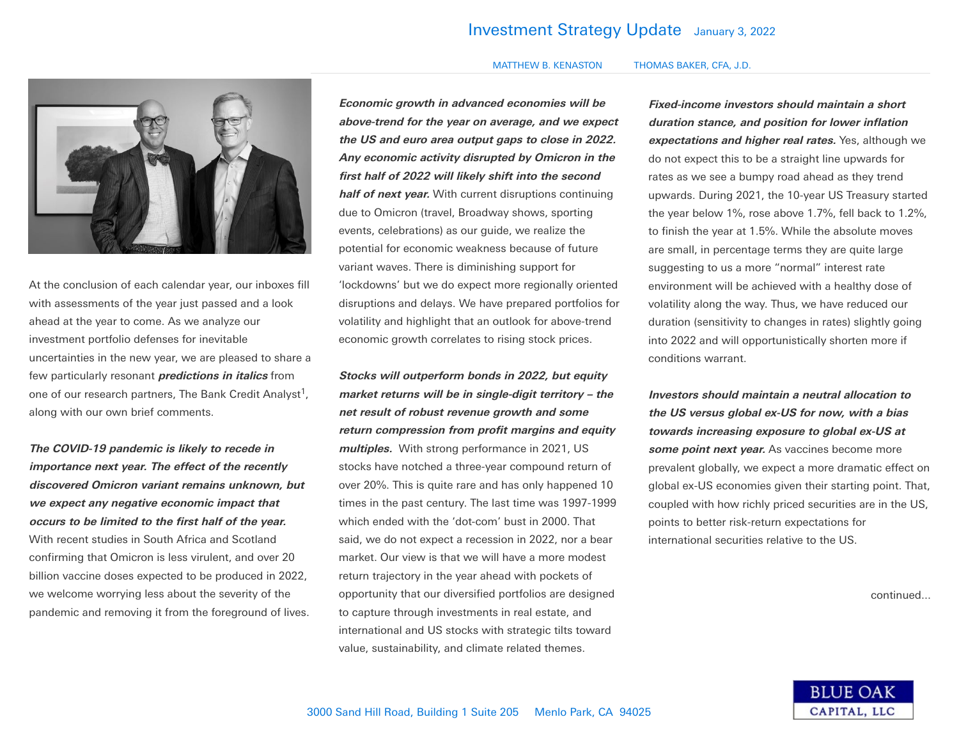## MATTHEW B. KENASTON THOMAS BAKER, CFA, J.D.



At the conclusion of each calendar year, our inboxes fill with assessments of the year just passed and a look ahead at the year to come. As we analyze our investment portfolio defenses for inevitable uncertainties in the new year, we are pleased to share a few particularly resonant **predictions in italics** from one of our research partners, The Bank Credit Analyst<sup>1</sup>, along with our own brief comments.

**The COVID-19 pandemic is likely to recede in importance next year. The effect of the recently discovered Omicron variant remains unknown, but we expect any negative economic impact that occurs to be limited to the first half of the year.** With recent studies in South Africa and Scotland confirming that Omicron is less virulent, and over 20 billion vaccine doses expected to be produced in 2022, we welcome worrying less about the severity of the pandemic and removing it from the foreground of lives. **Economic growth in advanced economies will be above-trend for the year on average, and we expect the US and euro area output gaps to close in 2022. Any economic activity disrupted by Omicron in the first half of 2022 will likely shift into the second half of next year.** With current disruptions continuing due to Omicron (travel, Broadway shows, sporting events, celebrations) as our guide, we realize the potential for economic weakness because of future variant waves. There is diminishing support for 'lockdowns' but we do expect more regionally oriented disruptions and delays. We have prepared portfolios for volatility and highlight that an outlook for above-trend economic growth correlates to rising stock prices.

**Stocks will outperform bonds in 2022, but equity market returns will be in single-digit territory – the net result of robust revenue growth and some return compression from profit margins and equity multiples.** With strong performance in 2021, US stocks have notched a three-year compound return of over 20%. This is quite rare and has only happened 10 times in the past century. The last time was 1997-1999 which ended with the 'dot-com' bust in 2000. That said, we do not expect a recession in 2022, nor a bear market. Our view is that we will have a more modest return trajectory in the year ahead with pockets of opportunity that our diversified portfolios are designed to capture through investments in real estate, and international and US stocks with strategic tilts toward value, sustainability, and climate related themes.

**Fixed-income investors should maintain a short duration stance, and position for lower inflation expectations and higher real rates.** Yes, although we do not expect this to be a straight line upwards for rates as we see a bumpy road ahead as they trend upwards. During 2021, the 10-year US Treasury started the year below 1%, rose above 1.7%, fell back to 1.2%, to finish the year at 1.5%. While the absolute moves are small, in percentage terms they are quite large suggesting to us a more "normal" interest rate environment will be achieved with a healthy dose of volatility along the way. Thus, we have reduced our duration (sensitivity to changes in rates) slightly going into 2022 and will opportunistically shorten more if conditions warrant.

**Investors should maintain a neutral allocation to the US versus global ex-US for now, with <sup>a</sup> bias towards increasing exposure to global ex-US at some point next year.** As vaccines become more prevalent globally, we expect a more dramatic effect on global ex-US economies given their starting point. That, coupled with how richly priced securities are in the US, points to better risk-return expectations for international securities relative to the US.

continued...